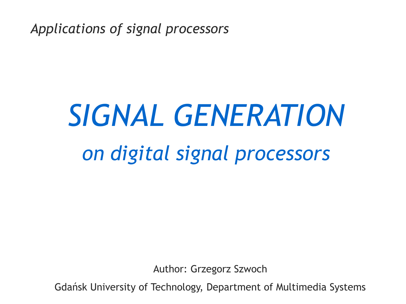*Applications of signal processors*

# *SIGNAL GENERATION on digital signal processors*

Author: Grzegorz Szwoch

Gdańsk University of Technology, Department of Multimedia Systems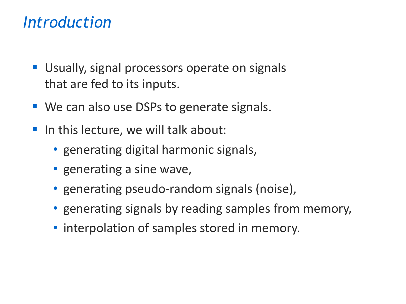#### *Introduction*

- Usually, signal processors operate on signals that are fed to its inputs.
- We can also use DSPs to generate signals.
- In this lecture, we will talk about:
	- generating digital harmonic signals,
	- generating a sine wave,
	- generating pseudo-random signals (noise),
	- generating signals by reading samples from memory,
	- interpolation of samples stored in memory.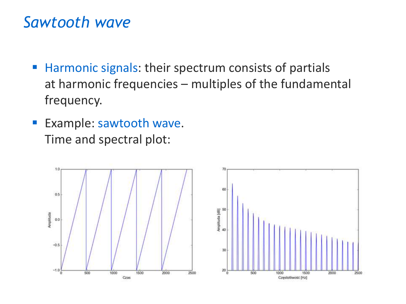#### *Sawtooth wave*

- Harmonic signals: their spectrum consists of partials at harmonic frequencies – multiples of the fundamental frequency.
- **Example: sawtooth wave.** Time and spectral plot:



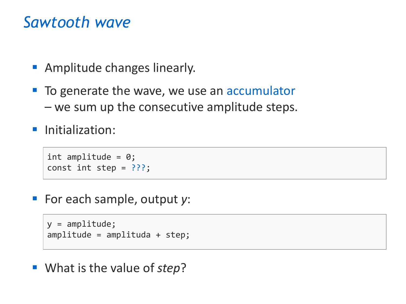#### *Sawtooth wave*

- Amplitude changes linearly.
- To generate the wave, we use an accumulator – we sum up the consecutive amplitude steps.
- **·** Initialization:

```
int amplitude = 0;
const int step = ???;
```
▪ For each sample, output *y*:

```
y = amplitude;
amplitude = amplituda + step;
```
■ What is the value of *step*?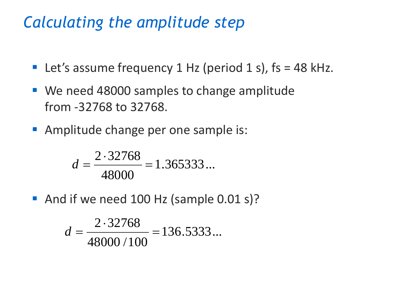#### *Calculating the amplitude step*

- **•** Let's assume frequency 1 Hz (period 1 s),  $fs = 48$  kHz.
- We need 48000 samples to change amplitude from -32768 to 32768.
- Amplitude change per one sample is:

$$
d = \frac{2 \cdot 32768}{48000} = 1.365333...
$$

■ And if we need 100 Hz (sample 0.01 s)?

$$
d = \frac{2.32768}{48000/100} = 136.5333...
$$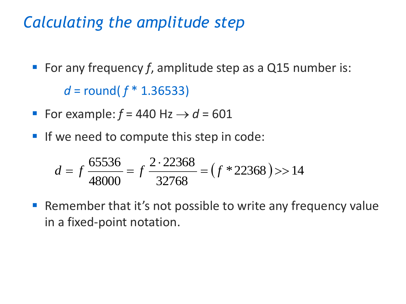#### *Calculating the amplitude step*

■ For any frequency *f*, amplitude step as a Q15 number is:

*d* = round( *f* \* 1.36533)

- **•** For example:  $f = 440$  Hz  $\rightarrow d = 601$
- **If we need to compute this step in code:**

$$
d = f \frac{65536}{48000} = f \frac{2 \cdot 22368}{32768} = (f * 22368) > 14
$$

■ Remember that it's not possible to write any frequency value in a fixed-point notation.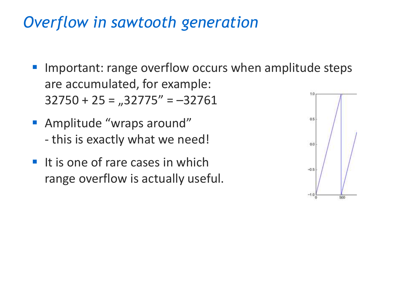### *Overflow in sawtooth generation*

- Important: range overflow occurs when amplitude steps are accumulated, for example: 1.0  $32750 + 25 = 0.32775'' = -32761$
- Amplitude "wraps around" - this is exactly what we need!
- $\blacksquare$  It is one of rare cases in which range overflow is actually useful.

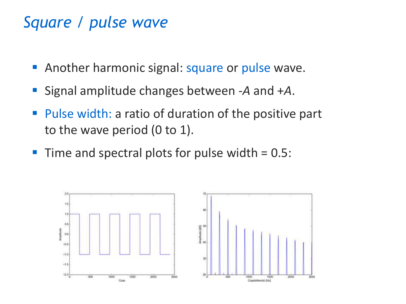#### *Square / pulse wave*

- **E** Another harmonic signal: square or pulse wave.
- Signal amplitude changes between -*A* and +*A*.
- Pulse width: a ratio of duration of the positive part to the wave period (0 to 1).
- $\blacksquare$  Time and spectral plots for pulse width  $= 0.5$ :

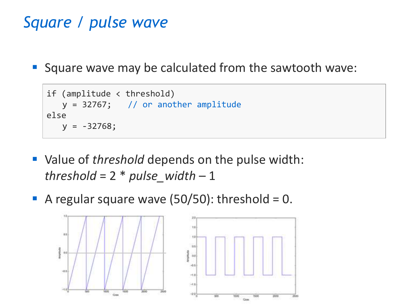## *Square / pulse wave*

■ Square wave may be calculated from the sawtooth wave:

```
if (amplitude < threshold)
   y = 32767; // or another amplitude
else
   y = -32768;
```
- Value of *threshold* depends on the pulse width: *threshold* = 2 \* *pulse\_width* – 1
- A regular square wave  $(50/50)$ : threshold = 0.

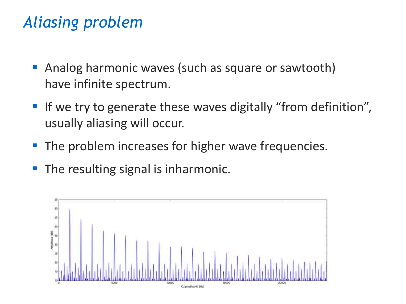## *Aliasing problem*

- **Analog harmonic waves (such as square or sawtooth)** have infinite spectrum.
- If we try to generate these waves digitally "from definition", usually aliasing will occur.
- The problem increases for higher wave frequencies.
- The resulting signal is inharmonic.

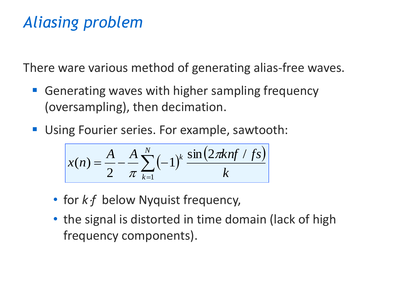## *Aliasing problem*

There ware various method of generating alias-free waves.

- Generating waves with higher sampling frequency (oversampling), then decimation.
- **Using Fourier series. For example, sawtooth:**

$$
x(n) = \frac{A}{2} - \frac{A}{\pi} \sum_{k=1}^{N} (-1)^k \frac{\sin(2\pi k n f / fs)}{k}
$$

- for *kf* below Nyquist frequency,
- the signal is distorted in time domain (lack of high frequency components).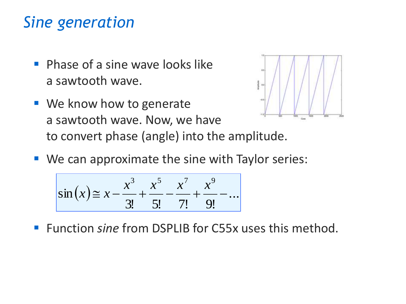## *Sine generation*

- **Phase of a sine wave looks like** a sawtooth wave.
- We know how to generate -53 a sawtooth wave. Now, we have to convert phase (angle) into the amplitude.
- We can approximate the sine with Taylor series:

$$
\sin(x) \approx x - \frac{x^3}{3!} + \frac{x^5}{5!} - \frac{x^7}{7!} + \frac{x^9}{9!} - \dots
$$

■ Function *sine* from DSPLIB for C55x uses this method.

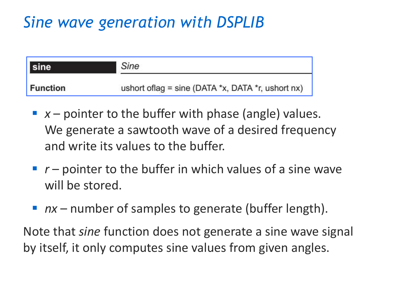# *Sine wave generation with DSPLIB*



- $\blacksquare$  *x* pointer to the buffer with phase (angle) values. We generate a sawtooth wave of a desired frequency and write its values to the buffer.
- $\blacksquare$   $r$  pointer to the buffer in which values of a sine wave will be stored.
- *nx* number of samples to generate (buffer length).

Note that *sine* function does not generate a sine wave signal by itself, it only computes sine values from given angles.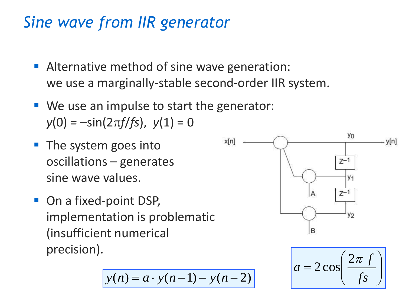### *Sine wave from IIR generator*

- **EXTERNATION EXTERNATION:** Alternative method of sine wave generation: we use a marginally-stable second-order IIR system.
- We use an impulse to start the generator:  $y(0) = -\sin(2\pi f / fs)$ ,  $y(1) = 0$
- The system goes into oscillations – generates sine wave values.
- On a fixed-point DSP, implementation is problematic (insufficient numerical precision).

$$
y(n) = a \cdot y(n-1) - y(n-2)
$$



$$
a = 2\cos\left(\frac{2\pi f}{fs}\right)
$$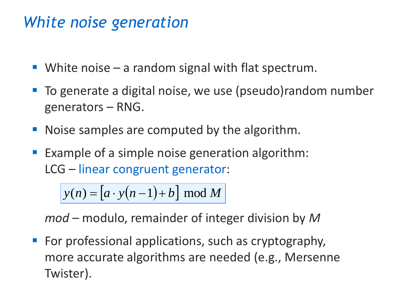## *White noise generation*

- **•** White noise  $-$  a random signal with flat spectrum.
- To generate a digital noise, we use (pseudo)random number generators – RNG.
- Noise samples are computed by the algorithm.
- Example of a simple noise generation algorithm: LCG – linear congruent generator:

 $y(n) = [a \cdot y(n-1) + b] \mod M$ 

*mod* – modulo, remainder of integer division by *M*

■ For professional applications, such as cryptography, more accurate algorithms are needed (e.g., Mersenne Twister).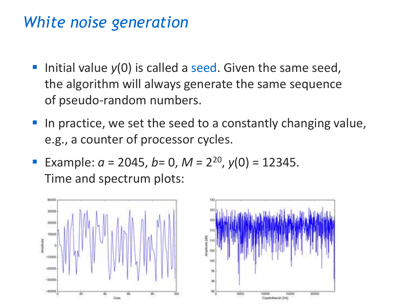### *White noise generation*

- Initial value  $y(0)$  is called a seed. Given the same seed, the algorithm will always generate the same sequence of pseudo-random numbers.
- In practice, we set the seed to a constantly changing value, e.g., a counter of processor cycles.
- **Example:**  $a = 2045$ ,  $b = 0$ ,  $M = 2^{20}$ ,  $y(0) = 12345$ . Time and spectrum plots:



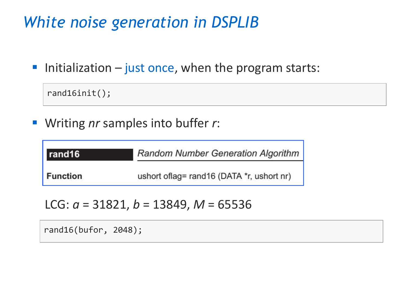## *White noise generation in DSPLIB*

 $\blacksquare$  Initialization  $\blacksquare$  just once, when the program starts:

```
rand16init();
```
■ Writing *nr* samples into buffer *r*:

| rand16          | <b>Random Number Generation Algorithm</b> |
|-----------------|-------------------------------------------|
| <b>Function</b> | ushort oflag= rand16 (DATA *r, ushort nr) |

LCG:  $a = 31821$ ,  $b = 13849$ ,  $M = 65536$ 

rand16(bufor, 2048);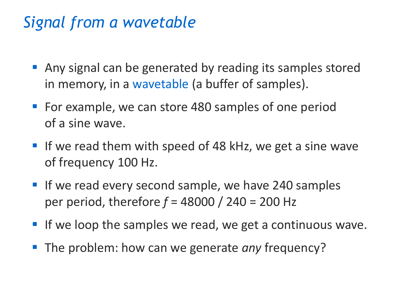## *Signal from a wavetable*

- Any signal can be generated by reading its samples stored in memory, in a wavetable (a buffer of samples).
- For example, we can store 480 samples of one period of a sine wave.
- If we read them with speed of 48 kHz, we get a sine wave of frequency 100 Hz.
- **If we read every second sample, we have 240 samples** per period, therefore *f* = 48000 / 240 = 200 Hz
- If we loop the samples we read, we get a continuous wave.
- The problem: how can we generate *any* frequency?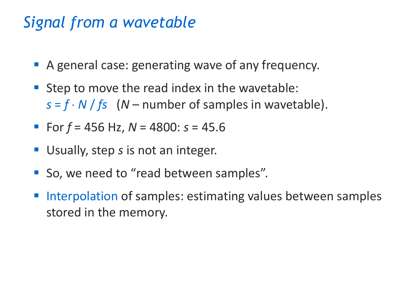## *Signal from a wavetable*

- A general case: generating wave of any frequency.
- Step to move the read index in the wavetable:  $s = f \cdot N / fs$  (*N* – number of samples in wavetable).
- For  $f = 456$  Hz,  $N = 4800$ :  $s = 45.6$
- Usually, step *s* is not an integer.
- So, we need to "read between samples".
- Interpolation of samples: estimating values between samples stored in the memory.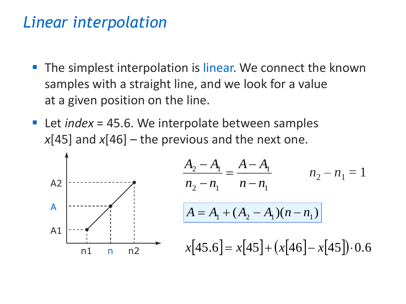#### *Linear interpolation*

- The simplest interpolation is linear. We connect the known samples with a straight line, and we look for a value at a given position on the line.
- Let *index* = 45.6. We interpolate between samples  $x[45]$  and  $x[46]$  – the previous and the next one.

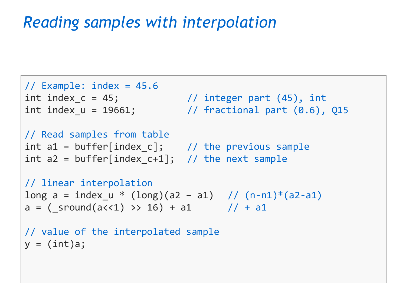## *Reading samples with interpolation*

```
// Example: index = 45.6
int index_c = 45; \frac{1}{10} integer part (45), int
int index u = 19661; // fractional part (0.6), Q15
// Read samples from table
int a1 = buffer[index_c]; \frac{1}{2} // the previous sample
int a2 = buffer[index c+1]; // the next sample
// linear interpolation
long a = index_u * (long)(a2 - a1) // (n-n1)*(a2-a1)a = (\text{ground}(a \lt 1) \gt 16) + a1 // + a1
// value of the interpolated sample
y = (int)a;
```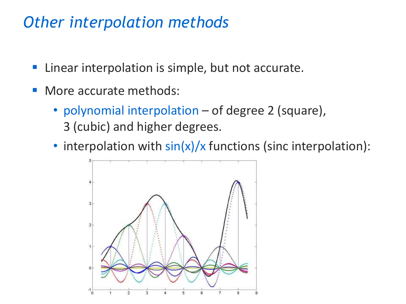### *Other interpolation methods*

- Linear interpolation is simple, but not accurate.
- More accurate methods:
	- polynomial interpolation of degree 2 (square), 3 (cubic) and higher degrees.
	- interpolation with  $sin(x)/x$  functions (sinc interpolation):

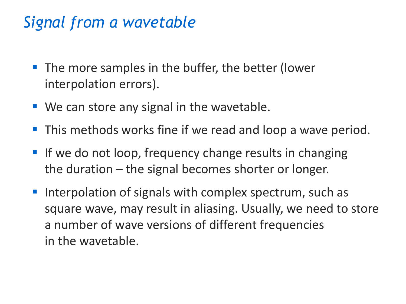# *Signal from a wavetable*

- The more samples in the buffer, the better (lower interpolation errors).
- We can store any signal in the wavetable.
- This methods works fine if we read and loop a wave period.
- **If we do not loop, frequency change results in changing** the duration – the signal becomes shorter or longer.
- Interpolation of signals with complex spectrum, such as square wave, may result in aliasing. Usually, we need to store a number of wave versions of different frequencies in the wavetable.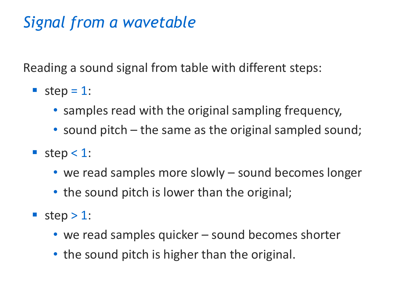# *Signal from a wavetable*

Reading a sound signal from table with different steps:

- step =  $1$ :
	- samples read with the original sampling frequency,
	- sound pitch the same as the original sampled sound;
- step < 1:
	- we read samples more slowly sound becomes longer
	- the sound pitch is lower than the original;
- step > 1:
	- we read samples quicker sound becomes shorter
	- the sound pitch is higher than the original.